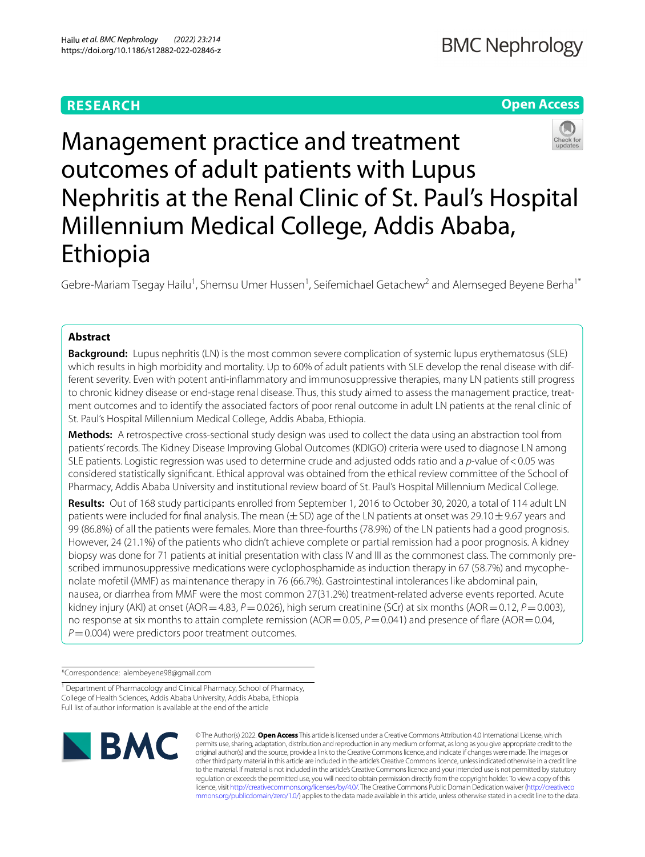# **RESEARCH**

# **Open Access**



Management practice and treatment outcomes of adult patients with Lupus Nephritis at the Renal Clinic of St. Paul's Hospital Millennium Medical College, Addis Ababa, Ethiopia

Gebre-Mariam Tsegay Hailu<sup>1</sup>, Shemsu Umer Hussen<sup>1</sup>, Seifemichael Getachew<sup>2</sup> and Alemseged Beyene Berha<sup>1\*</sup>

# **Abstract**

**Background:** Lupus nephritis (LN) is the most common severe complication of systemic lupus erythematosus (SLE) which results in high morbidity and mortality. Up to 60% of adult patients with SLE develop the renal disease with different severity. Even with potent anti-infammatory and immunosuppressive therapies, many LN patients still progress to chronic kidney disease or end-stage renal disease. Thus, this study aimed to assess the management practice, treatment outcomes and to identify the associated factors of poor renal outcome in adult LN patients at the renal clinic of St. Paul's Hospital Millennium Medical College, Addis Ababa, Ethiopia.

**Methods:** A retrospective cross-sectional study design was used to collect the data using an abstraction tool from patients' records. The Kidney Disease Improving Global Outcomes (KDIGO) criteria were used to diagnose LN among SLE patients. Logistic regression was used to determine crude and adjusted odds ratio and a *p*-value of<0.05 was considered statistically signifcant. Ethical approval was obtained from the ethical review committee of the School of Pharmacy, Addis Ababa University and institutional review board of St. Paul's Hospital Millennium Medical College.

**Results:** Out of 168 study participants enrolled from September 1, 2016 to October 30, 2020, a total of 114 adult LN patients were included for final analysis. The mean  $(\pm S)$  age of the LN patients at onset was 29.10 $\pm$ 9.67 years and 99 (86.8%) of all the patients were females. More than three-fourths (78.9%) of the LN patients had a good prognosis. However, 24 (21.1%) of the patients who didn't achieve complete or partial remission had a poor prognosis. A kidney biopsy was done for 71 patients at initial presentation with class IV and III as the commonest class. The commonly prescribed immunosuppressive medications were cyclophosphamide as induction therapy in 67 (58.7%) and mycophenolate mofetil (MMF) as maintenance therapy in 76 (66.7%). Gastrointestinal intolerances like abdominal pain, nausea, or diarrhea from MMF were the most common 27(31.2%) treatment-related adverse events reported. Acute kidney injury (AKI) at onset (AOR=4.83, *P*=0.026), high serum creatinine (SCr) at six months (AOR=0.12, *P*=0.003), no response at six months to attain complete remission (AOR = 0.05, *P* = 0.041) and presence of flare (AOR = 0.04,  $P = 0.004$ ) were predictors poor treatment outcomes.

\*Correspondence: alembeyene98@gmail.com

<sup>1</sup> Department of Pharmacology and Clinical Pharmacy, School of Pharmacy, College of Health Sciences, Addis Ababa University, Addis Ababa, Ethiopia Full list of author information is available at the end of the article



© The Author(s) 2022. **Open Access** This article is licensed under a Creative Commons Attribution 4.0 International License, which permits use, sharing, adaptation, distribution and reproduction in any medium or format, as long as you give appropriate credit to the original author(s) and the source, provide a link to the Creative Commons licence, and indicate if changes were made. The images or other third party material in this article are included in the article's Creative Commons licence, unless indicated otherwise in a credit line to the material. If material is not included in the article's Creative Commons licence and your intended use is not permitted by statutory regulation or exceeds the permitted use, you will need to obtain permission directly from the copyright holder. To view a copy of this licence, visit [http://creativecommons.org/licenses/by/4.0/.](http://creativecommons.org/licenses/by/4.0/) The Creative Commons Public Domain Dedication waiver ([http://creativeco](http://creativecommons.org/publicdomain/zero/1.0/) [mmons.org/publicdomain/zero/1.0/](http://creativecommons.org/publicdomain/zero/1.0/)) applies to the data made available in this article, unless otherwise stated in a credit line to the data.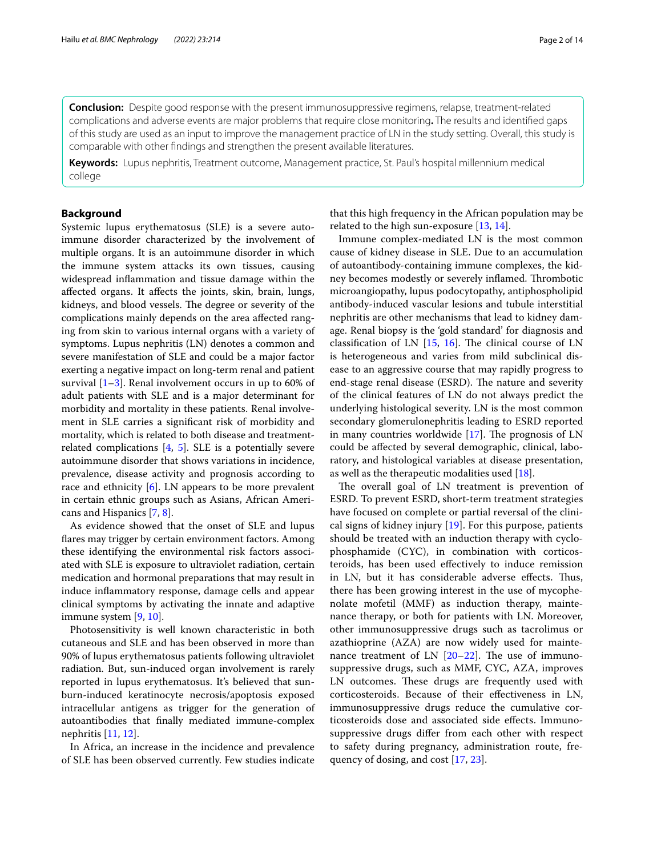**Conclusion:** Despite good response with the present immunosuppressive regimens, relapse, treatment-related complications and adverse events are major problems that require close monitoring**.** The results and identifed gaps of this study are used as an input to improve the management practice of LN in the study setting. Overall, this study is comparable with other fndings and strengthen the present available literatures.

**Keywords:** Lupus nephritis, Treatment outcome, Management practice, St. Paul's hospital millennium medical college

## **Background**

Systemic lupus erythematosus (SLE) is a severe autoimmune disorder characterized by the involvement of multiple organs. It is an autoimmune disorder in which the immune system attacks its own tissues, causing widespread infammation and tissue damage within the afected organs. It afects the joints, skin, brain, lungs, kidneys, and blood vessels. The degree or severity of the complications mainly depends on the area afected ranging from skin to various internal organs with a variety of symptoms. Lupus nephritis (LN) denotes a common and severe manifestation of SLE and could be a major factor exerting a negative impact on long-term renal and patient survival  $[1-3]$  $[1-3]$ . Renal involvement occurs in up to 60% of adult patients with SLE and is a major determinant for morbidity and mortality in these patients. Renal involvement in SLE carries a signifcant risk of morbidity and mortality, which is related to both disease and treatmentrelated complications [\[4](#page-12-2), [5](#page-12-3)]. SLE is a potentially severe autoimmune disorder that shows variations in incidence, prevalence, disease activity and prognosis according to race and ethnicity  $[6]$  $[6]$ . LN appears to be more prevalent in certain ethnic groups such as Asians, African Americans and Hispanics [\[7](#page-12-5), [8\]](#page-12-6).

As evidence showed that the onset of SLE and lupus flares may trigger by certain environment factors. Among these identifying the environmental risk factors associated with SLE is exposure to ultraviolet radiation, certain medication and hormonal preparations that may result in induce infammatory response, damage cells and appear clinical symptoms by activating the innate and adaptive immune system [[9,](#page-12-7) [10](#page-12-8)].

Photosensitivity is well known characteristic in both cutaneous and SLE and has been observed in more than 90% of lupus erythematosus patients following ultraviolet radiation. But, sun-induced organ involvement is rarely reported in lupus erythematosus. It's believed that sunburn-induced keratinocyte necrosis/apoptosis exposed intracellular antigens as trigger for the generation of autoantibodies that fnally mediated immune-complex nephritis [\[11,](#page-12-9) [12](#page-12-10)].

In Africa, an increase in the incidence and prevalence of SLE has been observed currently. Few studies indicate that this high frequency in the African population may be related to the high sun-exposure [\[13](#page-12-11), [14](#page-12-12)].

Immune complex-mediated LN is the most common cause of kidney disease in SLE. Due to an accumulation of autoantibody-containing immune complexes, the kidney becomes modestly or severely inflamed. Thrombotic microangiopathy, lupus podocytopathy, antiphospholipid antibody-induced vascular lesions and tubule interstitial nephritis are other mechanisms that lead to kidney damage. Renal biopsy is the 'gold standard' for diagnosis and classification of LN  $[15, 16]$  $[15, 16]$  $[15, 16]$  $[15, 16]$ . The clinical course of LN is heterogeneous and varies from mild subclinical disease to an aggressive course that may rapidly progress to end-stage renal disease (ESRD). The nature and severity of the clinical features of LN do not always predict the underlying histological severity. LN is the most common secondary glomerulonephritis leading to ESRD reported in many countries worldwide  $[17]$  $[17]$ . The prognosis of LN could be afected by several demographic, clinical, laboratory, and histological variables at disease presentation, as well as the therapeutic modalities used [[18\]](#page-12-16).

The overall goal of LN treatment is prevention of ESRD. To prevent ESRD, short-term treatment strategies have focused on complete or partial reversal of the clinical signs of kidney injury [\[19](#page-12-17)]. For this purpose, patients should be treated with an induction therapy with cyclophosphamide (CYC), in combination with corticosteroids, has been used efectively to induce remission in LN, but it has considerable adverse effects. Thus, there has been growing interest in the use of mycophenolate mofetil (MMF) as induction therapy, maintenance therapy, or both for patients with LN. Moreover, other immunosuppressive drugs such as tacrolimus or azathioprine (AZA) are now widely used for maintenance treatment of LN  $[20-22]$  $[20-22]$ . The use of immunosuppressive drugs, such as MMF, CYC, AZA, improves LN outcomes. These drugs are frequently used with corticosteroids. Because of their efectiveness in LN, immunosuppressive drugs reduce the cumulative corticosteroids dose and associated side efects. Immunosuppressive drugs difer from each other with respect to safety during pregnancy, administration route, frequency of dosing, and cost [[17,](#page-12-15) [23](#page-12-20)].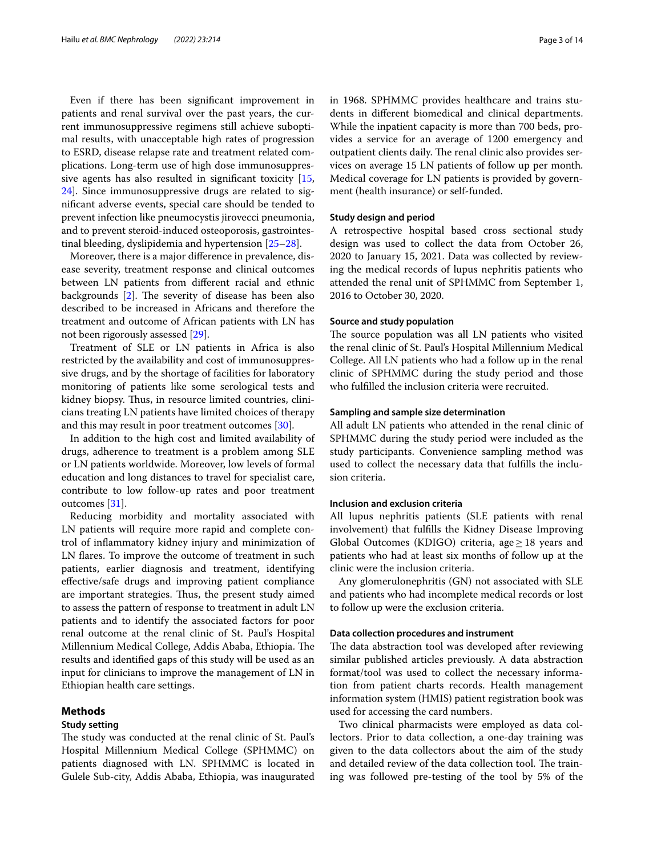Even if there has been signifcant improvement in patients and renal survival over the past years, the current immunosuppressive regimens still achieve suboptimal results, with unacceptable high rates of progression to ESRD, disease relapse rate and treatment related complications. Long-term use of high dose immunosuppressive agents has also resulted in signifcant toxicity [\[15](#page-12-13), [24\]](#page-12-21). Since immunosuppressive drugs are related to signifcant adverse events, special care should be tended to prevent infection like pneumocystis jirovecci pneumonia, and to prevent steroid-induced osteoporosis, gastrointestinal bleeding, dyslipidemia and hypertension [[25–](#page-12-22)[28\]](#page-12-23).

Moreover, there is a major diference in prevalence, disease severity, treatment response and clinical outcomes between LN patients from diferent racial and ethnic backgrounds  $[2]$  $[2]$ . The severity of disease has been also described to be increased in Africans and therefore the treatment and outcome of African patients with LN has not been rigorously assessed [\[29](#page-12-25)].

Treatment of SLE or LN patients in Africa is also restricted by the availability and cost of immunosuppressive drugs, and by the shortage of facilities for laboratory monitoring of patients like some serological tests and kidney biopsy. Thus, in resource limited countries, clinicians treating LN patients have limited choices of therapy and this may result in poor treatment outcomes [[30](#page-12-26)].

In addition to the high cost and limited availability of drugs, adherence to treatment is a problem among SLE or LN patients worldwide. Moreover, low levels of formal education and long distances to travel for specialist care, contribute to low follow-up rates and poor treatment outcomes [[31\]](#page-12-27).

Reducing morbidity and mortality associated with LN patients will require more rapid and complete control of infammatory kidney injury and minimization of LN fares. To improve the outcome of treatment in such patients, earlier diagnosis and treatment, identifying efective/safe drugs and improving patient compliance are important strategies. Thus, the present study aimed to assess the pattern of response to treatment in adult LN patients and to identify the associated factors for poor renal outcome at the renal clinic of St. Paul's Hospital Millennium Medical College, Addis Ababa, Ethiopia. The results and identifed gaps of this study will be used as an input for clinicians to improve the management of LN in Ethiopian health care settings.

## **Methods**

### **Study setting**

The study was conducted at the renal clinic of St. Paul's Hospital Millennium Medical College (SPHMMC) on patients diagnosed with LN. SPHMMC is located in Gulele Sub-city, Addis Ababa, Ethiopia, was inaugurated in 1968. SPHMMC provides healthcare and trains students in diferent biomedical and clinical departments. While the inpatient capacity is more than 700 beds, provides a service for an average of 1200 emergency and outpatient clients daily. The renal clinic also provides services on average 15 LN patients of follow up per month. Medical coverage for LN patients is provided by government (health insurance) or self-funded.

## **Study design and period**

A retrospective hospital based cross sectional study design was used to collect the data from October 26, 2020 to January 15, 2021. Data was collected by reviewing the medical records of lupus nephritis patients who attended the renal unit of SPHMMC from September 1, 2016 to October 30, 2020.

#### **Source and study population**

The source population was all LN patients who visited the renal clinic of St. Paul's Hospital Millennium Medical College. All LN patients who had a follow up in the renal clinic of SPHMMC during the study period and those who fulflled the inclusion criteria were recruited.

## **Sampling and sample size determination**

All adult LN patients who attended in the renal clinic of SPHMMC during the study period were included as the study participants. Convenience sampling method was used to collect the necessary data that fulflls the inclusion criteria.

## **Inclusion and exclusion criteria**

All lupus nephritis patients (SLE patients with renal involvement) that fulflls the Kidney Disease Improving Global Outcomes (KDIGO) criteria, age  $\geq$  18 years and patients who had at least six months of follow up at the clinic were the inclusion criteria.

Any glomerulonephritis (GN) not associated with SLE and patients who had incomplete medical records or lost to follow up were the exclusion criteria.

## **Data collection procedures and instrument**

The data abstraction tool was developed after reviewing similar published articles previously. A data abstraction format/tool was used to collect the necessary information from patient charts records. Health management information system (HMIS) patient registration book was used for accessing the card numbers.

Two clinical pharmacists were employed as data collectors. Prior to data collection, a one-day training was given to the data collectors about the aim of the study and detailed review of the data collection tool. The training was followed pre-testing of the tool by 5% of the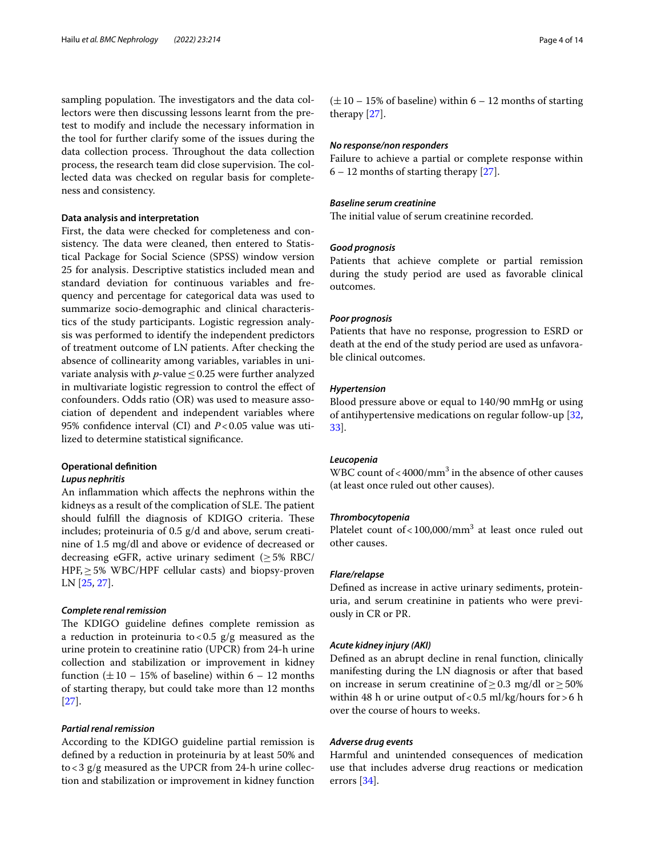sampling population. The investigators and the data collectors were then discussing lessons learnt from the pretest to modify and include the necessary information in the tool for further clarify some of the issues during the data collection process. Throughout the data collection process, the research team did close supervision. The collected data was checked on regular basis for completeness and consistency.

## **Data analysis and interpretation**

First, the data were checked for completeness and consistency. The data were cleaned, then entered to Statistical Package for Social Science (SPSS) window version 25 for analysis. Descriptive statistics included mean and standard deviation for continuous variables and frequency and percentage for categorical data was used to summarize socio-demographic and clinical characteristics of the study participants. Logistic regression analysis was performed to identify the independent predictors of treatment outcome of LN patients. After checking the absence of collinearity among variables, variables in univariate analysis with *p*-value≤0.25 were further analyzed in multivariate logistic regression to control the efect of confounders. Odds ratio (OR) was used to measure association of dependent and independent variables where 95% confdence interval (CI) and *P*<0.05 value was utilized to determine statistical signifcance.

## **Operational defnition**

### *Lupus nephritis*

An infammation which afects the nephrons within the kidneys as a result of the complication of SLE. The patient should fulfill the diagnosis of KDIGO criteria. These includes; proteinuria of 0.5 g/d and above, serum creatinine of 1.5 mg/dl and above or evidence of decreased or decreasing eGFR, active urinary sediment  $(≥5%$  RBC/  $HPF, \geq 5\%$  WBC/HPF cellular casts) and biopsy-proven LN [\[25](#page-12-22), [27](#page-12-28)].

## *Complete renal remission*

The KDIGO guideline defines complete remission as a reduction in proteinuria to <0.5  $g/g$  measured as the urine protein to creatinine ratio (UPCR) from 24-h urine collection and stabilization or improvement in kidney function  $(\pm 10 - 15\%$  of baseline) within 6 – 12 months of starting therapy, but could take more than 12 months [[27\]](#page-12-28).

## *Partial renal remission*

According to the KDIGO guideline partial remission is defned by a reduction in proteinuria by at least 50% and to<3 g/g measured as the UPCR from 24-h urine collection and stabilization or improvement in kidney function

## *No response/non responders*

Failure to achieve a partial or complete response within  $6 - 12$  months of starting therapy [\[27](#page-12-28)].

## *Baseline serum creatinine*

The initial value of serum creatinine recorded.

### *Good prognosis*

Patients that achieve complete or partial remission during the study period are used as favorable clinical outcomes.

### *Poor prognosis*

Patients that have no response, progression to ESRD or death at the end of the study period are used as unfavorable clinical outcomes.

## *Hypertension*

Blood pressure above or equal to 140/90 mmHg or using of antihypertensive medications on regular follow-up [[32](#page-12-29), [33\]](#page-12-30).

## *Leucopenia*

WBC count of  $<$  4000/mm<sup>3</sup> in the absence of other causes (at least once ruled out other causes).

#### *Thrombocytopenia*

Platelet count of <  $100,000/mm^3$  at least once ruled out other causes.

#### *Flare/relapse*

Defned as increase in active urinary sediments, proteinuria, and serum creatinine in patients who were previously in CR or PR.

### *Acute kidney injury (AKI)*

Defned as an abrupt decline in renal function, clinically manifesting during the LN diagnosis or after that based on increase in serum creatinine of  $\geq$  0.3 mg/dl or  $\geq$  50% within 48 h or urine output of <0.5 ml/kg/hours for >6 h over the course of hours to weeks.

## *Adverse drug events*

Harmful and unintended consequences of medication use that includes adverse drug reactions or medication errors [[34\]](#page-12-31).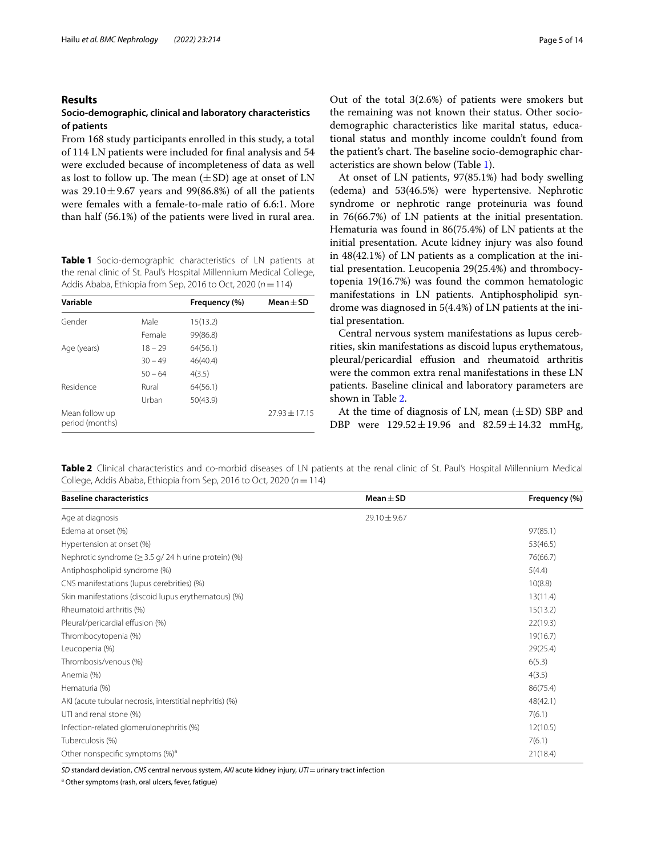## **Results**

## **Socio‑demographic, clinical and laboratory characteristics of patients**

From 168 study participants enrolled in this study, a total of 114 LN patients were included for fnal analysis and 54 were excluded because of incompleteness of data as well as lost to follow up. The mean  $(\pm SD)$  age at onset of LN was  $29.10 \pm 9.67$  vears and 99(86.8%) of all the patients were females with a female-to-male ratio of 6.6:1. More than half (56.1%) of the patients were lived in rural area.

<span id="page-4-0"></span>**Table 1** Socio-demographic characteristics of LN patients at the renal clinic of St. Paul's Hospital Millennium Medical College, Addis Ababa, Ethiopia from Sep, 2016 to Oct, 2020 (*n*=114)

| Variable                          |           | Frequency (%) | $Mean + SD$       |
|-----------------------------------|-----------|---------------|-------------------|
| Gender                            | Male      | 15(13.2)      |                   |
|                                   | Female    | 99(86.8)      |                   |
| Age (years)                       | $18 - 29$ | 64(56.1)      |                   |
|                                   | $30 - 49$ | 46(40.4)      |                   |
|                                   | $50 - 64$ | 4(3.5)        |                   |
| Residence                         | Rural     | 64(56.1)      |                   |
|                                   | Urban     | 50(43.9)      |                   |
| Mean follow up<br>period (months) |           |               | $77.93 \pm 17.15$ |

Out of the total 3(2.6%) of patients were smokers but the remaining was not known their status. Other sociodemographic characteristics like marital status, educational status and monthly income couldn't found from the patient's chart. The baseline socio-demographic characteristics are shown below (Table [1\)](#page-4-0).

At onset of LN patients, 97(85.1%) had body swelling (edema) and 53(46.5%) were hypertensive. Nephrotic syndrome or nephrotic range proteinuria was found in 76(66.7%) of LN patients at the initial presentation. Hematuria was found in 86(75.4%) of LN patients at the initial presentation. Acute kidney injury was also found in 48(42.1%) of LN patients as a complication at the initial presentation. Leucopenia 29(25.4%) and thrombocytopenia 19(16.7%) was found the common hematologic manifestations in LN patients. Antiphospholipid syndrome was diagnosed in 5(4.4%) of LN patients at the initial presentation.

Central nervous system manifestations as lupus cerebrities, skin manifestations as discoid lupus erythematous, pleural/pericardial effusion and rheumatoid arthritis were the common extra renal manifestations in these LN patients. Baseline clinical and laboratory parameters are shown in Table [2.](#page-4-1)

At the time of diagnosis of LN, mean  $(\pm SD)$  SBP and DBP were  $129.52 \pm 19.96$  and  $82.59 \pm 14.32$  mmHg,

<span id="page-4-1"></span>**Table 2** Clinical characteristics and co-morbid diseases of LN patients at the renal clinic of St. Paul's Hospital Millennium Medical College, Addis Ababa, Ethiopia from Sep, 2016 to Oct, 2020 (*n*=114)

| <b>Baseline characteristics</b>                            | $Mean + SD$      | Frequency (%) |
|------------------------------------------------------------|------------------|---------------|
| Age at diagnosis                                           | $29.10 \pm 9.67$ |               |
| Edema at onset (%)                                         |                  | 97(85.1)      |
| Hypertension at onset (%)                                  |                  | 53(46.5)      |
| Nephrotic syndrome ( $\geq$ 3.5 g/ 24 h urine protein) (%) |                  | 76(66.7)      |
| Antiphospholipid syndrome (%)                              |                  | 5(4.4)        |
| CNS manifestations (lupus cerebrities) (%)                 |                  | 10(8.8)       |
| Skin manifestations (discoid lupus erythematous) (%)       |                  | 13(11.4)      |
| Rheumatoid arthritis (%)                                   |                  | 15(13.2)      |
| Pleural/pericardial effusion (%)                           |                  | 22(19.3)      |
| Thrombocytopenia (%)                                       |                  | 19(16.7)      |
| Leucopenia (%)                                             |                  | 29(25.4)      |
| Thrombosis/venous (%)                                      |                  | 6(5.3)        |
| Anemia (%)                                                 |                  | 4(3.5)        |
| Hematuria (%)                                              |                  | 86(75.4)      |
| AKI (acute tubular necrosis, interstitial nephritis) (%)   |                  | 48(42.1)      |
| UTI and renal stone (%)                                    |                  | 7(6.1)        |
| Infection-related glomerulonephritis (%)                   |                  | 12(10.5)      |
| Tuberculosis (%)                                           |                  | 7(6.1)        |
| Other nonspecific symptoms (%) <sup>a</sup>                |                  | 21(18.4)      |

*SD* standard deviation, *CNS* central nervous system, *AKI* acute kidney injury, *UTI*=urinary tract infection

<sup>a</sup> Other symptoms (rash, oral ulcers, fever, fatigue)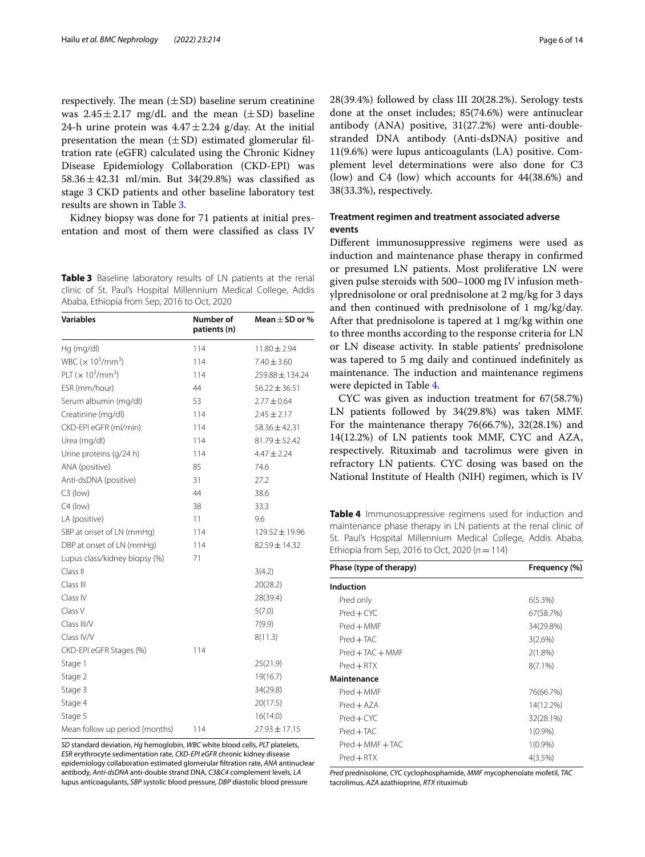respectively. The mean  $(\pm SD)$  baseline serum creatinine was  $2.45 \pm 2.17$  mg/dL and the mean  $(\pm SD)$  baseline 24-h urine protein was  $4.47 \pm 2.24$  g/day. At the initial presentation the mean  $(\pm SD)$  estimated glomerular filtration rate (eGFR) calculated using the Chronic Kidney Disease Epidemiology Collaboration (CKD-EPI) was 58.36 $\pm$ 42.31 ml/min. But 34(29.8%) was classified as stage 3 CKD patients and other baseline laboratory test results are shown in Table [3.](#page-5-0)

Kidney biopsy was done for 71 patients at initial presentation and most of them were classifed as class IV

<span id="page-5-0"></span>**Table 3** Baseline laboratory results of LN patients at the renal clinic of St. Paul's Hospital Millennium Medical College, Addis Ababa, Ethiopia from Sep, 2016 to Oct, 2020

| Variables                                         | Number of<br>patients (n) | Mean $\pm$ SD or % |
|---------------------------------------------------|---------------------------|--------------------|
| Hq (mg/dl)                                        | 114                       | $11.80 \pm 2.94$   |
| WBC $(x 10^3/mm^3)$                               | 114                       | $7.40 \pm 3.60$    |
| PLT ( $\times$ 10 <sup>3</sup> /mm <sup>3</sup> ) | 114                       | 259.88 ± 134.24    |
| ESR (mm/hour)                                     | 44                        | $56.22 \pm 36.51$  |
| Serum albumin (mg/dl)                             | 53                        | $2.77 \pm 0.64$    |
| Creatinine (mg/dl)                                | 114                       | $2.45 \pm 2.17$    |
| CKD-EPI eGFR (ml/min)                             | 114                       | $58.36 \pm 42.31$  |
| Urea (mg/dl)                                      | 114                       | $81.79 \pm 52.42$  |
| Urine proteins (g/24 h)                           | 114                       | $4.47 \pm 2.24$    |
| ANA (positive)                                    | 85                        | 74.6               |
| Anti-dsDNA (positive)                             | 31                        | 27.2               |
| $C3$ (low)                                        | 44                        | 38.6               |
| $C4$ (low)                                        | 38                        | 33.3               |
| LA (positive)                                     | 11                        | 9.6                |
| SBP at onset of LN (mmHg)                         | 114                       | $129.52 \pm 19.96$ |
| DBP at onset of LN (mmHg)                         | 114                       | 82.59±14.32        |
| Lupus class/kidney biopsy (%)                     | 71                        |                    |
| Class II                                          |                           | 3(4.2)             |
| Class III                                         |                           | 20(28.2)           |
| Class IV                                          |                           | 28(39.4)           |
| Class V                                           |                           | 5(7.0)             |
| Class III/V                                       |                           | 7(9.9)             |
| Class IV/V                                        |                           | 8(11.3)            |
| CKD-EPI eGFR Stages (%)                           | 114                       |                    |
| Stage 1                                           |                           | 25(21.9)           |
| Stage 2                                           |                           | 19(16.7)           |
| Stage 3                                           |                           | 34(29.8)           |
| Stage 4                                           |                           | 20(17.5)           |
| Stage 5                                           |                           | 16(14.0)           |
| Mean follow up period (months)                    | 114                       | $27.93 \pm 17.15$  |

*SD* standard deviation, *Hg* hemoglobin, *WBC* white blood cells, *PLT* platelets, *ESR* erythrocyte sedimentation rate, *CKD-EPI eGFR* chronic kidney disease epidemiology collaboration estimated glomerular fltration rate, *ANA* antinuclear antibody, *Anti-dsDNA* anti-double strand DNA, *C3&C4* complement levels, *LA* lupus anticoagulants, *SBP* systolic blood pressure, *DBP* diastolic blood pressure

28(39.4%) followed by class III 20(28.2%). Serology tests done at the onset includes; 85(74.6%) were antinuclear antibody (ANA) positive, 31(27.2%) were anti-doublestranded DNA antibody (Anti-dsDNA) positive and 11(9.6%) were lupus anticoagulants (LA) positive. Complement level determinations were also done for C3 (low) and C4 (low) which accounts for 44(38.6%) and 38(33.3%), respectively.

## **Treatment regimen and treatment associated adverse events**

Diferent immunosuppressive regimens were used as induction and maintenance phase therapy in confrmed or presumed LN patients. Most proliferative LN were given pulse steroids with 500–1000 mg IV infusion methylprednisolone or oral prednisolone at 2 mg/kg for 3 days and then continued with prednisolone of 1 mg/kg/day. After that prednisolone is tapered at 1 mg/kg within one to three months according to the response criteria for LN or LN disease activity. In stable patients' prednisolone was tapered to 5 mg daily and continued indefnitely as maintenance. The induction and maintenance regimens were depicted in Table [4.](#page-5-1)

CYC was given as induction treatment for 67(58.7%) LN patients followed by 34(29.8%) was taken MMF. For the maintenance therapy 76(66.7%), 32(28.1%) and 14(12.2%) of LN patients took MMF, CYC and AZA, respectively. Rituximab and tacrolimus were given in refractory LN patients. CYC dosing was based on the National Institute of Health (NIH) regimen, which is IV

<span id="page-5-1"></span>**Table 4** Immunosuppressive regimens used for induction and maintenance phase therapy in LN patients at the renal clinic of St. Paul's Hospital Millennium Medical College, Addis Ababa, Ethiopia from Sep, 2016 to Oct, 2020 (*n*=114)

| Phase (type of therapy) | Frequency (%) |  |
|-------------------------|---------------|--|
| Induction               |               |  |
| Pred only               | $6(5.3\%)$    |  |
| $Pred + CYC$            | 67(58.7%)     |  |
| $Pred + MMF$            | 34(29.8%)     |  |
| $Pred + TAC$            | 3(2.6%)       |  |
| $Pred + TAC + MMF$      | $2(1.8\%)$    |  |
| $Pred + RTX$            | $8(7.1\%)$    |  |
| Maintenance             |               |  |
| $Pred + MMF$            | 76(66.7%)     |  |
| $Pred + AZA$            | 14(12.2%)     |  |
| $Pred + CYC$            | 32(28.1%)     |  |
| $Pred + TAC$            | $1(0.9\%)$    |  |
| $Pred + MMF + TAC$      | $1(0.9\%)$    |  |
| $Pred + RTX$            | 4(3.5%)       |  |
|                         |               |  |

*Pred* prednisolone, *CYC* cyclophosphamide, *MMF* mycophenolate mofetil, *TAC* tacrolimus, *AZA* azathioprine, *RTX* rituximub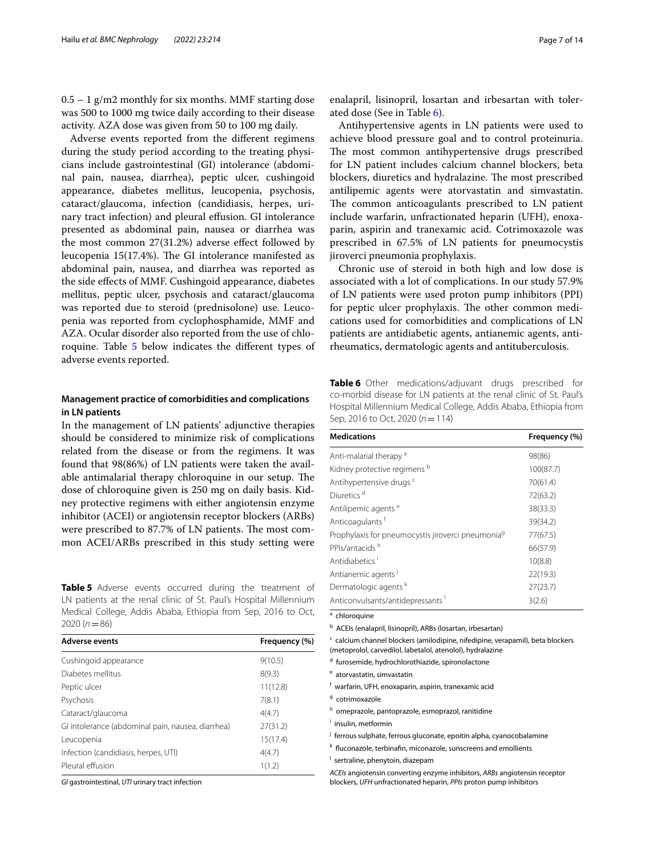$0.5 - 1$  g/m2 monthly for six months. MMF starting dose was 500 to 1000 mg twice daily according to their disease activity. AZA dose was given from 50 to 100 mg daily.

Adverse events reported from the diferent regimens during the study period according to the treating physicians include gastrointestinal (GI) intolerance (abdominal pain, nausea, diarrhea), peptic ulcer, cushingoid appearance, diabetes mellitus, leucopenia, psychosis, cataract/glaucoma, infection (candidiasis, herpes, urinary tract infection) and pleural efusion. GI intolerance presented as abdominal pain, nausea or diarrhea was the most common 27(31.2%) adverse efect followed by leucopenia 15(17.4%). The GI intolerance manifested as abdominal pain, nausea, and diarrhea was reported as the side efects of MMF. Cushingoid appearance, diabetes mellitus, peptic ulcer, psychosis and cataract/glaucoma was reported due to steroid (prednisolone) use. Leucopenia was reported from cyclophosphamide, MMF and AZA. Ocular disorder also reported from the use of chloroquine. Table [5](#page-6-0) below indicates the diferent types of adverse events reported.

## **Management practice of comorbidities and complications in LN patients**

In the management of LN patients' adjunctive therapies should be considered to minimize risk of complications related from the disease or from the regimens. It was found that 98(86%) of LN patients were taken the available antimalarial therapy chloroquine in our setup. The dose of chloroquine given is 250 mg on daily basis. Kidney protective regimens with either angiotensin enzyme inhibitor (ACEI) or angiotensin receptor blockers (ARBs) were prescribed to 87.7% of LN patients. The most common ACEI/ARBs prescribed in this study setting were

<span id="page-6-0"></span>**Table 5** Adverse events occurred during the treatment of LN patients at the renal clinic of St. Paul's Hospital Millennium Medical College, Addis Ababa, Ethiopia from Sep, 2016 to Oct, 2020 (*n*=86)

| <b>Adverse events</b>                             | Frequency (%) |  |
|---------------------------------------------------|---------------|--|
| Cushingoid appearance                             | 9(10.5)       |  |
| Diabetes mellitus                                 | 8(9.3)        |  |
| Peptic ulcer                                      | 11(12.8)      |  |
| Psychosis                                         | 7(8.1)        |  |
| Cataract/glaucoma                                 | 4(4.7)        |  |
| Gl intolerance (abdominal pain, nausea, diarrhea) | 27(31.2)      |  |
| Leucopenia                                        | 15(17.4)      |  |
| Infection (candidiasis, herpes, UTI)              | 4(4.7)        |  |
| Pleural effusion                                  | 1(1.2)        |  |

*GI* gastrointestinal, *UTI* urinary tract infection

enalapril, lisinopril, losartan and irbesartan with tolerated dose (See in Table [6](#page-6-1)).

Antihypertensive agents in LN patients were used to achieve blood pressure goal and to control proteinuria. The most common antihypertensive drugs prescribed for LN patient includes calcium channel blockers, beta blockers, diuretics and hydralazine. The most prescribed antilipemic agents were atorvastatin and simvastatin. The common anticoagulants prescribed to LN patient include warfarin, unfractionated heparin (UFH), enoxaparin, aspirin and tranexamic acid. Cotrimoxazole was prescribed in 67.5% of LN patients for pneumocystis jiroverci pneumonia prophylaxis.

Chronic use of steroid in both high and low dose is associated with a lot of complications. In our study 57.9% of LN patients were used proton pump inhibitors (PPI) for peptic ulcer prophylaxis. The other common medications used for comorbidities and complications of LN patients are antidiabetic agents, antianemic agents, antirheumatics, dermatologic agents and antituberculosis.

<span id="page-6-1"></span>**Table 6** Other medications/adjuvant drugs prescribed for co-morbid disease for LN patients at the renal clinic of St. Paul's Hospital Millennium Medical College, Addis Ababa, Ethiopia from Sep, 2016 to Oct, 2020 (*n*=114)

| <b>Medications</b>                                            | Frequency (%) |  |
|---------------------------------------------------------------|---------------|--|
| Anti-malarial therapy <sup>a</sup>                            | 98(86)        |  |
| Kidney protective regimens b                                  | 100(87.7)     |  |
| Antihypertensive drugs <sup>c</sup>                           | 70(61.4)      |  |
| Diuretics <sup>d</sup>                                        | 72(63.2)      |  |
| Antilipemic agents <sup>e</sup>                               | 38(33.3)      |  |
| Anticoagulants <sup>f</sup>                                   | 39(34.2)      |  |
| Prophylaxis for pneumocystis jiroverci pneumonia <sup>9</sup> | 77(67.5)      |  |
| PPIs/antacids <sup>h</sup>                                    | 66(57.9)      |  |
| Antidiabetics <sup>i</sup>                                    | 10(8.8)       |  |
| Antianemic agents <sup>j</sup>                                | 22(19.3)      |  |
| Dermatologic agents <sup>k</sup>                              | 27(23.7)      |  |
| Anticonvulsants/antidepressants <sup>1</sup>                  | 3(2.6)        |  |

<sup>a</sup> chloroquine

**b** ACEIs (enalapril, lisinopril), ARBs (losartan, irbesartan)

c calcium channel blockers (amilodipine, nifedipine, verapamil), beta blockers (metoprolol, carvedilol, labetalol, atenolol), hydralazine

- <sup>d</sup> furosemide, hydrochlorothiazide, spironolactone
- e atorvastatin, simvastatin
- f warfarin, UFH, enoxaparin, aspirin, tranexamic acid
- <sup>g</sup> cotrimoxazole
- h omeprazole, pantoprazole, esmoprazol, ranitidine
- i insulin, metformin
- <sup>j</sup> ferrous sulphate, ferrous gluconate, epoitin alpha, cyanocobalamine
- k fluconazole, terbinafin, miconazole, sunscreens and emollients
- <sup>1</sup> sertraline, phenytoin, diazepam

*ACEIs* angiotensin converting enzyme inhibitors, *ARBs* angiotensin receptor blockers, *UFH* unfractionated heparin, *PPIs* proton pump inhibitors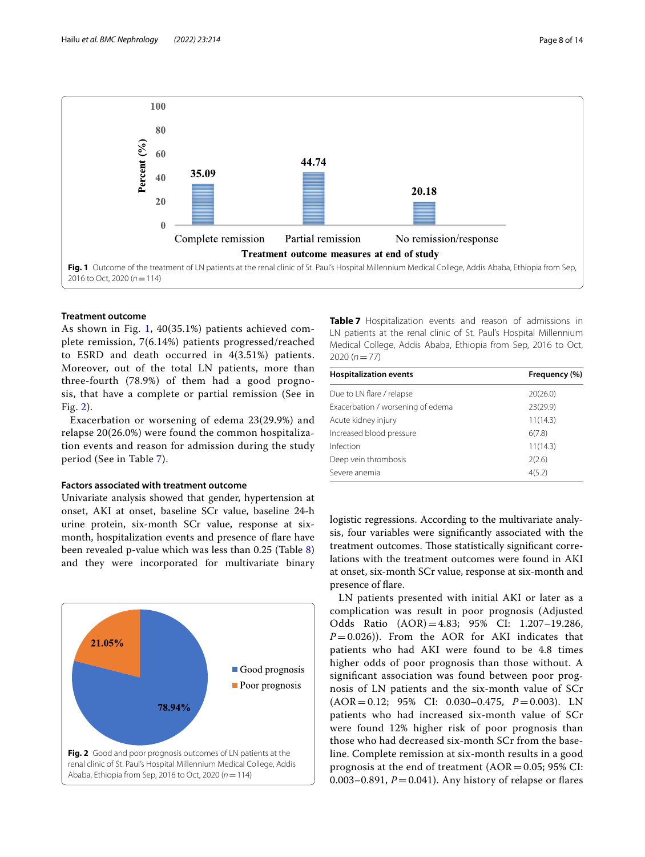

## <span id="page-7-0"></span>**Treatment outcome**

As shown in Fig. [1,](#page-7-0) 40(35.1%) patients achieved complete remission, 7(6.14%) patients progressed/reached to ESRD and death occurred in 4(3.51%) patients. Moreover, out of the total LN patients, more than three-fourth (78.9%) of them had a good prognosis, that have a complete or partial remission (See in Fig. [2\)](#page-7-1).

Exacerbation or worsening of edema 23(29.9%) and relapse 20(26.0%) were found the common hospitalization events and reason for admission during the study period (See in Table [7\)](#page-7-2).

## **Factors associated with treatment outcome**

Univariate analysis showed that gender, hypertension at onset, AKI at onset, baseline SCr value, baseline 24-h urine protein, six-month SCr value, response at sixmonth, hospitalization events and presence of fare have been revealed p-value which was less than 0.25 (Table [8](#page-8-0)) and they were incorporated for multivariate binary

<span id="page-7-1"></span>

<span id="page-7-2"></span>**Table 7** Hospitalization events and reason of admissions in LN patients at the renal clinic of St. Paul's Hospital Millennium Medical College, Addis Ababa, Ethiopia from Sep, 2016 to Oct, 2020 (*n*=77)

| <b>Hospitalization events</b>     | Frequency (%) |
|-----------------------------------|---------------|
| Due to LN flare / relapse         | 20(26.0)      |
| Exacerbation / worsening of edema | 23(29.9)      |
| Acute kidney injury               | 11(14.3)      |
| Increased blood pressure          | 6(7.8)        |
| Infection                         | 11(14.3)      |
| Deep vein thrombosis              | 2(2.6)        |
| Severe anemia                     | 4(5.2)        |

logistic regressions. According to the multivariate analysis, four variables were signifcantly associated with the treatment outcomes. Those statistically significant correlations with the treatment outcomes were found in AKI at onset, six-month SCr value, response at six-month and presence of flare.

LN patients presented with initial AKI or later as a complication was result in poor prognosis (Adjusted Odds Ratio (AOR)=4.83; 95% CI: 1.207–19.286,  $P=0.026$ )). From the AOR for AKI indicates that patients who had AKI were found to be 4.8 times higher odds of poor prognosis than those without. A signifcant association was found between poor prognosis of LN patients and the six-month value of SCr (AOR=0.12; 95% CI: 0.030–0.475, *P*=0.003). LN patients who had increased six-month value of SCr were found 12% higher risk of poor prognosis than those who had decreased six-month SCr from the baseline. Complete remission at six-month results in a good prognosis at the end of treatment  $(AOR = 0.05; 95\% \text{ CI:}$ 0.003–0.891,  $P = 0.041$ ). Any history of relapse or flares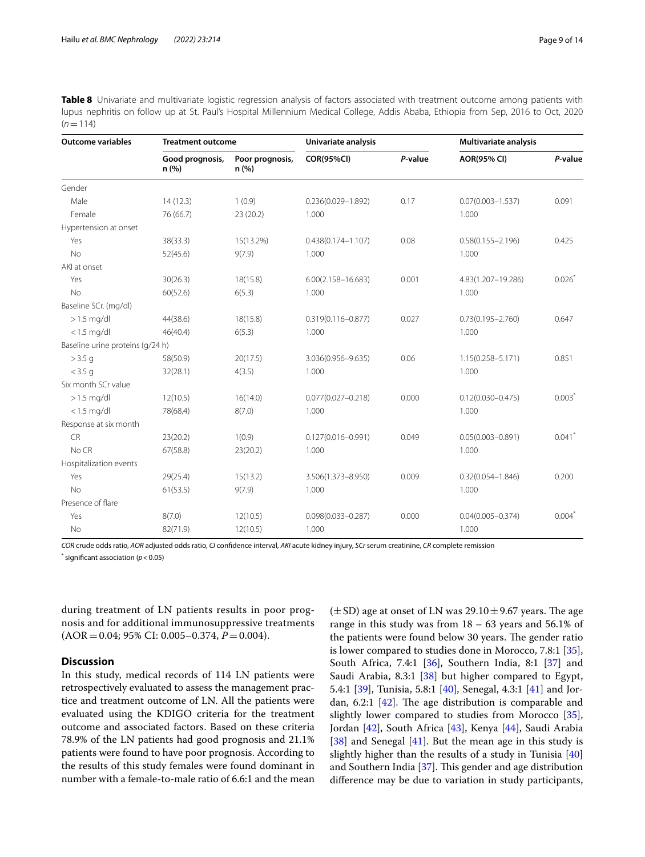<span id="page-8-0"></span>**Table 8** Univariate and multivariate logistic regression analysis of factors associated with treatment outcome among patients with lupus nephritis on follow up at St. Paul's Hospital Millennium Medical College, Addis Ababa, Ethiopia from Sep, 2016 to Oct, 2020  $(n=114)$ 

| <b>Outcome variables</b>         | <b>Treatment outcome</b> |                          | Univariate analysis    |         | Multivariate analysis |           |
|----------------------------------|--------------------------|--------------------------|------------------------|---------|-----------------------|-----------|
|                                  | Good prognosis,<br>n (%) | Poor prognosis,<br>n (%) | <b>COR(95%CI)</b>      | P-value | <b>AOR(95% CI)</b>    | P-value   |
| Gender                           |                          |                          |                        |         |                       |           |
| Male                             | 14(12.3)                 | 1(0.9)                   | $0.236(0.029 - 1.892)$ | 0.17    | $0.07(0.003 - 1.537)$ | 0.091     |
| Female                           | 76 (66.7)                | 23 (20.2)                | 1.000                  |         | 1.000                 |           |
| Hypertension at onset            |                          |                          |                        |         |                       |           |
| Yes                              | 38(33.3)                 | 15(13.2%)                | $0.438(0.174 - 1.107)$ | 0.08    | $0.58(0.155 - 2.196)$ | 0.425     |
| <b>No</b>                        | 52(45.6)                 | 9(7.9)                   | 1.000                  |         | 1.000                 |           |
| AKI at onset                     |                          |                          |                        |         |                       |           |
| Yes                              | 30(26.3)                 | 18(15.8)                 | $6.00(2.158 - 16.683)$ | 0.001   | 4.83(1.207-19.286)    | 0.026     |
| No                               | 60(52.6)                 | 6(5.3)                   | 1.000                  |         | 1.000                 |           |
| Baseline SCr. (mg/dl)            |                          |                          |                        |         |                       |           |
| $>1.5$ mg/dl                     | 44(38.6)                 | 18(15.8)                 | $0.319(0.116 - 0.877)$ | 0.027   | $0.73(0.195 - 2.760)$ | 0.647     |
| $<$ 1.5 mg/dl                    | 46(40.4)                 | 6(5.3)                   | 1.000                  |         | 1.000                 |           |
| Baseline urine proteins (g/24 h) |                          |                          |                        |         |                       |           |
| $>$ 3.5 g                        | 58(50.9)                 | 20(17.5)                 | 3.036(0.956-9.635)     | 0.06    | $1.15(0.258 - 5.171)$ | 0.851     |
| $<$ 3.5 g                        | 32(28.1)                 | 4(3.5)                   | 1.000                  |         | 1.000                 |           |
| Six month SCr value              |                          |                          |                        |         |                       |           |
| $>1.5$ mg/dl                     | 12(10.5)                 | 16(14.0)                 | $0.077(0.027 - 0.218)$ | 0.000   | $0.12(0.030 - 0.475)$ | $0.003*$  |
| $<$ 1.5 mg/dl                    | 78(68.4)                 | 8(7.0)                   | 1.000                  |         | 1.000                 |           |
| Response at six month            |                          |                          |                        |         |                       |           |
| <b>CR</b>                        | 23(20.2)                 | 1(0.9)                   | $0.127(0.016 - 0.991)$ | 0.049   | $0.05(0.003 - 0.891)$ | 0.041     |
| No CR                            | 67(58.8)                 | 23(20.2)                 | 1.000                  |         | 1.000                 |           |
| Hospitalization events           |                          |                          |                        |         |                       |           |
| Yes                              | 29(25.4)                 | 15(13.2)                 | 3.506(1.373-8.950)     | 0.009   | $0.32(0.054 - 1.846)$ | 0.200     |
| <b>No</b>                        | 61(53.5)                 | 9(7.9)                   | 1.000                  |         | 1.000                 |           |
| Presence of flare                |                          |                          |                        |         |                       |           |
| Yes                              | 8(7.0)                   | 12(10.5)                 | $0.098(0.033 - 0.287)$ | 0.000   | $0.04(0.005 - 0.374)$ | $0.004^*$ |
| No                               | 82(71.9)                 | 12(10.5)                 | 1.000                  |         | 1.000                 |           |

*COR* crude odds ratio, *AOR* adjusted odds ratio, *CI* confdence interval, *AKI* acute kidney injury, *SCr* serum creatinine, *CR* complete remission

 $*$  significant association ( $p < 0.05$ )

during treatment of LN patients results in poor prognosis and for additional immunosuppressive treatments (AOR=0.04; 95% CI: 0.005–0.374, *P*=0.004).

## **Discussion**

In this study, medical records of 114 LN patients were retrospectively evaluated to assess the management practice and treatment outcome of LN. All the patients were evaluated using the KDIGO criteria for the treatment outcome and associated factors. Based on these criteria 78.9% of the LN patients had good prognosis and 21.1% patients were found to have poor prognosis. According to the results of this study females were found dominant in number with a female-to-male ratio of 6.6:1 and the mean  $(\pm SD)$  age at onset of LN was 29.10 $\pm$ 9.67 years. The age range in this study was from  $18 - 63$  years and  $56.1\%$  of the patients were found below 30 years. The gender ratio is lower compared to studies done in Morocco, 7.8:1 [\[35](#page-12-32)], South Africa, 7.4:1 [[36\]](#page-12-33), Southern India, 8:1 [\[37](#page-12-34)] and Saudi Arabia, 8.3:1 [\[38\]](#page-12-35) but higher compared to Egypt, 5.4:1 [\[39\]](#page-12-36), Tunisia, 5.8:1 [\[40\]](#page-12-37), Senegal, 4.3:1 [\[41\]](#page-12-38) and Jordan,  $6.2:1$  [[42](#page-12-39)]. The age distribution is comparable and slightly lower compared to studies from Morocco [\[35](#page-12-32)], Jordan [\[42](#page-12-39)], South Africa [\[43](#page-12-40)], Kenya [[44\]](#page-12-41), Saudi Arabia [[38\]](#page-12-35) and Senegal [[41\]](#page-12-38). But the mean age in this study is slightly higher than the results of a study in Tunisia [[40](#page-12-37)] and Southern India  $[37]$ . This gender and age distribution diference may be due to variation in study participants,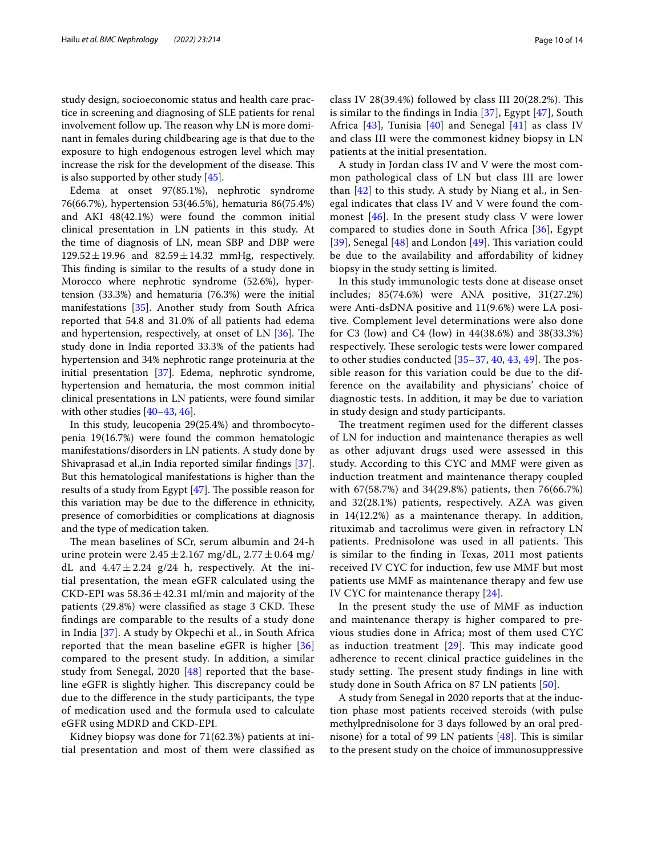study design, socioeconomic status and health care practice in screening and diagnosing of SLE patients for renal involvement follow up. The reason why LN is more dominant in females during childbearing age is that due to the exposure to high endogenous estrogen level which may increase the risk for the development of the disease. This is also supported by other study [[45\]](#page-12-42).

Edema at onset 97(85.1%), nephrotic syndrome 76(66.7%), hypertension 53(46.5%), hematuria 86(75.4%) and AKI 48(42.1%) were found the common initial clinical presentation in LN patients in this study. At the time of diagnosis of LN, mean SBP and DBP were  $129.52 \pm 19.96$  and  $82.59 \pm 14.32$  mmHg, respectively. This finding is similar to the results of a study done in Morocco where nephrotic syndrome (52.6%), hypertension (33.3%) and hematuria (76.3%) were the initial manifestations [[35\]](#page-12-32). Another study from South Africa reported that 54.8 and 31.0% of all patients had edema and hypertension, respectively, at onset of LN  $[36]$  $[36]$ . The study done in India reported 33.3% of the patients had hypertension and 34% nephrotic range proteinuria at the initial presentation [[37\]](#page-12-34). Edema, nephrotic syndrome, hypertension and hematuria, the most common initial clinical presentations in LN patients, were found similar with other studies [[40](#page-12-37)[–43](#page-12-40), [46\]](#page-12-43).

In this study, leucopenia 29(25.4%) and thrombocytopenia 19(16.7%) were found the common hematologic manifestations/disorders in LN patients. A study done by Shivaprasad et al.,in India reported similar fndings [\[37](#page-12-34)]. But this hematological manifestations is higher than the results of a study from Egypt  $[47]$  $[47]$ . The possible reason for this variation may be due to the diference in ethnicity, presence of comorbidities or complications at diagnosis and the type of medication taken.

The mean baselines of SCr, serum albumin and 24-h urine protein were  $2.45 \pm 2.167$  mg/dL,  $2.77 \pm 0.64$  mg/ dL and  $4.47 \pm 2.24$  g/24 h, respectively. At the initial presentation, the mean eGFR calculated using the CKD-EPI was  $58.36 \pm 42.31$  ml/min and majority of the patients (29.8%) were classified as stage 3 CKD. These fndings are comparable to the results of a study done in India [[37\]](#page-12-34). A study by Okpechi et al., in South Africa reported that the mean baseline eGFR is higher [\[36](#page-12-33)] compared to the present study. In addition, a similar study from Senegal, 2020 [[48](#page-13-0)] reported that the baseline eGFR is slightly higher. This discrepancy could be due to the diference in the study participants, the type of medication used and the formula used to calculate eGFR using MDRD and CKD-EPI.

Kidney biopsy was done for 71(62.3%) patients at initial presentation and most of them were classifed as class IV 28(39.4%) followed by class III 20(28.2%). This is similar to the fndings in India [\[37](#page-12-34)], Egypt [[47\]](#page-12-44), South Africa [\[43\]](#page-12-40), Tunisia [[40\]](#page-12-37) and Senegal [[41\]](#page-12-38) as class IV and class III were the commonest kidney biopsy in LN patients at the initial presentation.

A study in Jordan class IV and V were the most common pathological class of LN but class III are lower than  $[42]$  $[42]$  to this study. A study by Niang et al., in Senegal indicates that class IV and V were found the commonest [\[46](#page-12-43)]. In the present study class V were lower compared to studies done in South Africa [[36\]](#page-12-33), Egypt [[39](#page-12-36)], Senegal  $[48]$  $[48]$  and London  $[49]$  $[49]$ . This variation could be due to the availability and afordability of kidney biopsy in the study setting is limited.

In this study immunologic tests done at disease onset includes; 85(74.6%) were ANA positive, 31(27.2%) were Anti-dsDNA positive and 11(9.6%) were LA positive. Complement level determinations were also done for C3 (low) and C4 (low) in 44(38.6%) and 38(33.3%) respectively. These serologic tests were lower compared to other studies conducted  $[35-37, 40, 43, 49]$  $[35-37, 40, 43, 49]$  $[35-37, 40, 43, 49]$  $[35-37, 40, 43, 49]$  $[35-37, 40, 43, 49]$  $[35-37, 40, 43, 49]$  $[35-37, 40, 43, 49]$  $[35-37, 40, 43, 49]$ . The possible reason for this variation could be due to the difference on the availability and physicians' choice of diagnostic tests. In addition, it may be due to variation in study design and study participants.

The treatment regimen used for the different classes of LN for induction and maintenance therapies as well as other adjuvant drugs used were assessed in this study. According to this CYC and MMF were given as induction treatment and maintenance therapy coupled with 67(58.7%) and 34(29.8%) patients, then 76(66.7%) and 32(28.1%) patients, respectively. AZA was given in 14(12.2%) as a maintenance therapy. In addition, rituximab and tacrolimus were given in refractory LN patients. Prednisolone was used in all patients. This is similar to the fnding in Texas, 2011 most patients received IV CYC for induction, few use MMF but most patients use MMF as maintenance therapy and few use IV CYC for maintenance therapy [[24](#page-12-21)].

In the present study the use of MMF as induction and maintenance therapy is higher compared to previous studies done in Africa; most of them used CYC as induction treatment  $[29]$  $[29]$ . This may indicate good adherence to recent clinical practice guidelines in the study setting. The present study findings in line with study done in South Africa on 87 LN patients [\[50](#page-13-2)].

A study from Senegal in 2020 reports that at the induction phase most patients received steroids (with pulse methylprednisolone for 3 days followed by an oral prednisone) for a total of 99 LN patients  $[48]$  $[48]$ . This is similar to the present study on the choice of immunosuppressive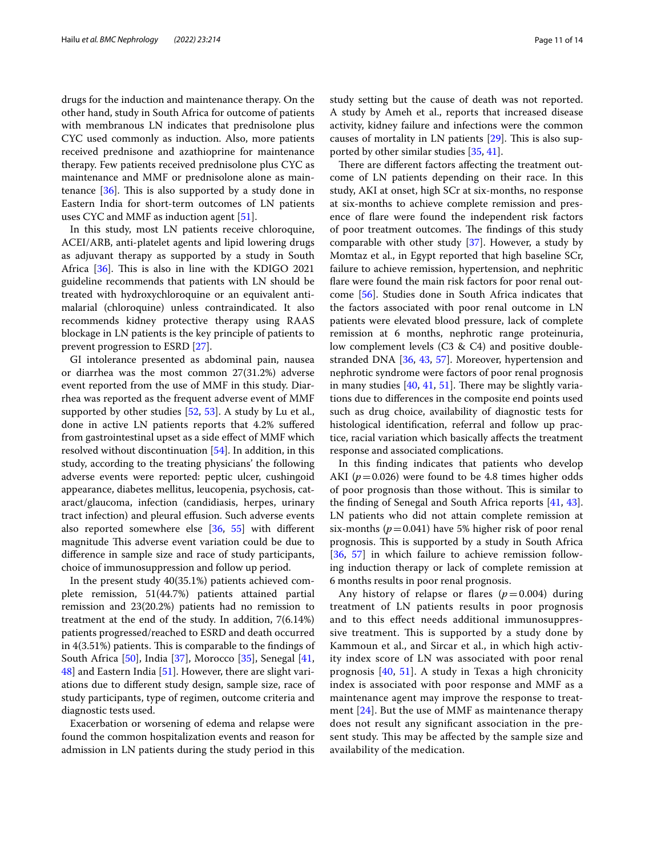drugs for the induction and maintenance therapy. On the other hand, study in South Africa for outcome of patients with membranous LN indicates that prednisolone plus CYC used commonly as induction. Also, more patients received prednisone and azathioprine for maintenance therapy. Few patients received prednisolone plus CYC as maintenance and MMF or prednisolone alone as maintenance  $[36]$  $[36]$ . This is also supported by a study done in Eastern India for short-term outcomes of LN patients uses CYC and MMF as induction agent [\[51](#page-13-3)].

In this study, most LN patients receive chloroquine, ACEI/ARB, anti-platelet agents and lipid lowering drugs as adjuvant therapy as supported by a study in South Africa  $[36]$  $[36]$  $[36]$ . This is also in line with the KDIGO 2021 guideline recommends that patients with LN should be treated with hydroxychloroquine or an equivalent antimalarial (chloroquine) unless contraindicated. It also recommends kidney protective therapy using RAAS blockage in LN patients is the key principle of patients to prevent progression to ESRD [[27\]](#page-12-28).

GI intolerance presented as abdominal pain, nausea or diarrhea was the most common 27(31.2%) adverse event reported from the use of MMF in this study. Diarrhea was reported as the frequent adverse event of MMF supported by other studies [[52,](#page-13-4) [53\]](#page-13-5). A study by Lu et al., done in active LN patients reports that 4.2% sufered from gastrointestinal upset as a side efect of MMF which resolved without discontinuation [\[54](#page-13-6)]. In addition, in this study, according to the treating physicians' the following adverse events were reported: peptic ulcer, cushingoid appearance, diabetes mellitus, leucopenia, psychosis, cataract/glaucoma, infection (candidiasis, herpes, urinary tract infection) and pleural efusion. Such adverse events also reported somewhere else [[36,](#page-12-33) [55](#page-13-7)] with diferent magnitude This adverse event variation could be due to diference in sample size and race of study participants, choice of immunosuppression and follow up period.

In the present study 40(35.1%) patients achieved complete remission, 51(44.7%) patients attained partial remission and 23(20.2%) patients had no remission to treatment at the end of the study. In addition, 7(6.14%) patients progressed/reached to ESRD and death occurred in  $4(3.51%)$  patients. This is comparable to the findings of South Africa [[50](#page-13-2)], India [\[37\]](#page-12-34), Morocco [[35\]](#page-12-32), Senegal [\[41](#page-12-38), [48\]](#page-13-0) and Eastern India [[51\]](#page-13-3). However, there are slight variations due to diferent study design, sample size, race of study participants, type of regimen, outcome criteria and diagnostic tests used.

Exacerbation or worsening of edema and relapse were found the common hospitalization events and reason for admission in LN patients during the study period in this study setting but the cause of death was not reported. A study by Ameh et al., reports that increased disease activity, kidney failure and infections were the common causes of mortality in LN patients  $[29]$  $[29]$ . This is also supported by other similar studies [\[35,](#page-12-32) [41](#page-12-38)].

There are different factors affecting the treatment outcome of LN patients depending on their race. In this study, AKI at onset, high SCr at six-months, no response at six-months to achieve complete remission and presence of fare were found the independent risk factors of poor treatment outcomes. The findings of this study comparable with other study [\[37](#page-12-34)]. However, a study by Momtaz et al., in Egypt reported that high baseline SCr, failure to achieve remission, hypertension, and nephritic fare were found the main risk factors for poor renal outcome [\[56](#page-13-8)]. Studies done in South Africa indicates that the factors associated with poor renal outcome in LN patients were elevated blood pressure, lack of complete remission at 6 months, nephrotic range proteinuria, low complement levels (C3 & C4) and positive doublestranded DNA [[36,](#page-12-33) [43](#page-12-40), [57](#page-13-9)]. Moreover, hypertension and nephrotic syndrome were factors of poor renal prognosis in many studies  $[40, 41, 51]$  $[40, 41, 51]$  $[40, 41, 51]$  $[40, 41, 51]$  $[40, 41, 51]$  $[40, 41, 51]$  $[40, 41, 51]$ . There may be slightly variations due to diferences in the composite end points used such as drug choice, availability of diagnostic tests for histological identifcation, referral and follow up practice, racial variation which basically afects the treatment response and associated complications.

In this fnding indicates that patients who develop AKI  $(p=0.026)$  were found to be 4.8 times higher odds of poor prognosis than those without. This is similar to the fnding of Senegal and South Africa reports [\[41](#page-12-38), [43](#page-12-40)]. LN patients who did not attain complete remission at six-months ( $p=0.041$ ) have 5% higher risk of poor renal prognosis. This is supported by a study in South Africa [[36,](#page-12-33) [57\]](#page-13-9) in which failure to achieve remission following induction therapy or lack of complete remission at 6 months results in poor renal prognosis.

Any history of relapse or flares  $(p=0.004)$  during treatment of LN patients results in poor prognosis and to this efect needs additional immunosuppressive treatment. This is supported by a study done by Kammoun et al., and Sircar et al., in which high activity index score of LN was associated with poor renal prognosis [[40](#page-12-37), [51](#page-13-3)]. A study in Texas a high chronicity index is associated with poor response and MMF as a maintenance agent may improve the response to treatment  $[24]$  $[24]$ . But the use of MMF as maintenance therapy does not result any signifcant association in the present study. This may be affected by the sample size and availability of the medication.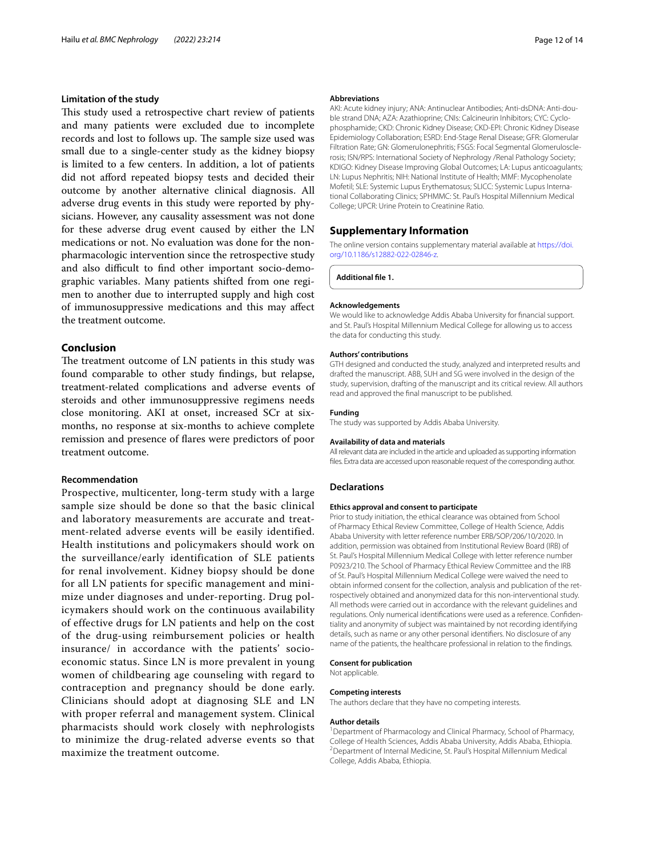## **Limitation of the study**

This study used a retrospective chart review of patients and many patients were excluded due to incomplete records and lost to follows up. The sample size used was small due to a single-center study as the kidney biopsy is limited to a few centers. In addition, a lot of patients did not aford repeated biopsy tests and decided their outcome by another alternative clinical diagnosis. All adverse drug events in this study were reported by physicians. However, any causality assessment was not done for these adverse drug event caused by either the LN medications or not. No evaluation was done for the nonpharmacologic intervention since the retrospective study and also difficult to find other important socio-demographic variables. Many patients shifted from one regimen to another due to interrupted supply and high cost of immunosuppressive medications and this may afect the treatment outcome.

## **Conclusion**

The treatment outcome of LN patients in this study was found comparable to other study fndings, but relapse, treatment-related complications and adverse events of steroids and other immunosuppressive regimens needs close monitoring. AKI at onset, increased SCr at sixmonths, no response at six-months to achieve complete remission and presence of fares were predictors of poor treatment outcome.

#### **Recommendation**

Prospective, multicenter, long-term study with a large sample size should be done so that the basic clinical and laboratory measurements are accurate and treatment-related adverse events will be easily identified. Health institutions and policymakers should work on the surveillance/early identification of SLE patients for renal involvement. Kidney biopsy should be done for all LN patients for specific management and minimize under diagnoses and under-reporting. Drug policymakers should work on the continuous availability of effective drugs for LN patients and help on the cost of the drug-using reimbursement policies or health insurance/ in accordance with the patients' socioeconomic status. Since LN is more prevalent in young women of childbearing age counseling with regard to contraception and pregnancy should be done early. Clinicians should adopt at diagnosing SLE and LN with proper referral and management system. Clinical pharmacists should work closely with nephrologists to minimize the drug-related adverse events so that maximize the treatment outcome.

#### **Abbreviations**

AKI: Acute kidney injury; ANA: Antinuclear Antibodies; Anti-dsDNA: Anti-double strand DNA; AZA: Azathioprine; CNIs: Calcineurin Inhibitors; CYC: Cyclophosphamide; CKD: Chronic Kidney Disease; CKD-EPI: Chronic Kidney Disease Epidemiology Collaboration; ESRD: End-Stage Renal Disease; GFR: Glomerular Filtration Rate; GN: Glomerulonephritis; FSGS: Focal Segmental Glomerulosclerosis; ISN/RPS: International Society of Nephrology /Renal Pathology Society; KDIGO: Kidney Disease Improving Global Outcomes; LA: Lupus anticoagulants; LN: Lupus Nephritis; NIH: National Institute of Health; MMF: Mycophenolate Mofetil; SLE: Systemic Lupus Erythematosus; SLICC: Systemic Lupus Interna‑ tional Collaborating Clinics; SPHMMC: St. Paul's Hospital Millennium Medical College; UPCR: Urine Protein to Creatinine Ratio.

### **Supplementary Information**

The online version contains supplementary material available at [https://doi.](https://doi.org/10.1186/s12882-022-02846-z) [org/10.1186/s12882-022-02846-z.](https://doi.org/10.1186/s12882-022-02846-z)

**Additional fle 1.**

### **Acknowledgements**

We would like to acknowledge Addis Ababa University for fnancial support. and St. Paul's Hospital Millennium Medical College for allowing us to access the data for conducting this study.

#### **Authors' contributions**

GTH designed and conducted the study, analyzed and interpreted results and drafted the manuscript. ABB, SUH and SG were involved in the design of the study, supervision, drafting of the manuscript and its critical review. All authors read and approved the fnal manuscript to be published.

## **Funding**

The study was supported by Addis Ababa University.

#### **Availability of data and materials**

All relevant data are included in the article and uploaded as supporting information fles. Extra data are accessed upon reasonable request of the corresponding author.

#### **Declarations**

#### **Ethics approval and consent to participate**

Prior to study initiation, the ethical clearance was obtained from School of Pharmacy Ethical Review Committee, College of Health Science, Addis Ababa University with letter reference number ERB/SOP/206/10/2020. In addition, permission was obtained from Institutional Review Board (IRB) of St. Paul's Hospital Millennium Medical College with letter reference number P0923/210. The School of Pharmacy Ethical Review Committee and the IRB of St. Paul's Hospital Millennium Medical College were waived the need to obtain informed consent for the collection, analysis and publication of the retrospectively obtained and anonymized data for this non-interventional study. All methods were carried out in accordance with the relevant guidelines and regulations. Only numerical identifications were used as a reference. Confidentiality and anonymity of subject was maintained by not recording identifying details, such as name or any other personal identifers. No disclosure of any name of the patients, the healthcare professional in relation to the fndings.

#### **Consent for publication**

Not applicable.

#### **Competing interests**

The authors declare that they have no competing interests.

#### **Author details**

<sup>1</sup> Department of Pharmacology and Clinical Pharmacy, School of Pharmacy, College of Health Sciences, Addis Ababa University, Addis Ababa, Ethiopia. 2 <sup>2</sup> Department of Internal Medicine, St. Paul's Hospital Millennium Medical College, Addis Ababa, Ethiopia.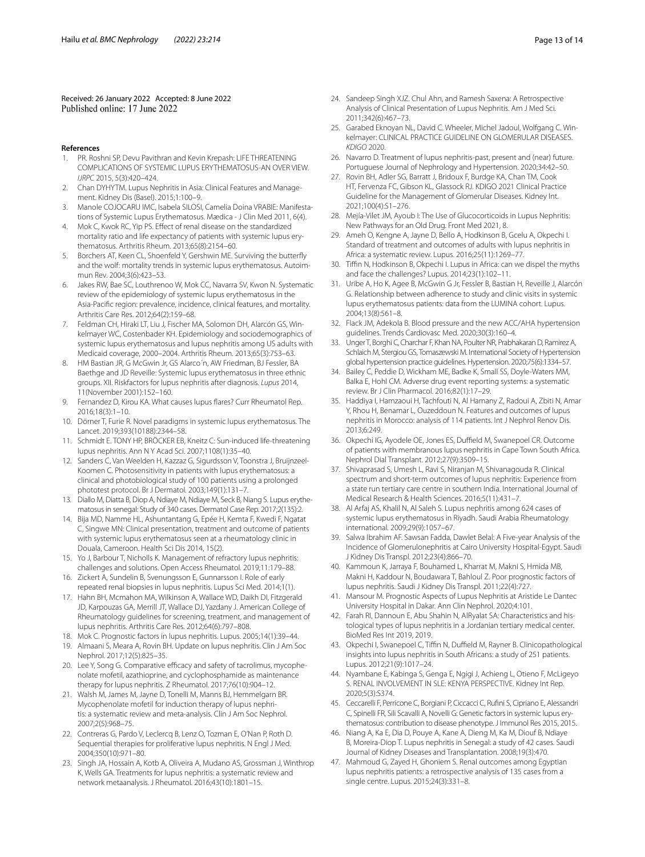Received: 26 January 2022 Accepted: 8 June 2022

- **References**
- <span id="page-12-0"></span>1. PR. Roshni SP, Devu Pavithran and Kevin Krepash: LIFE THREATENING COMPLICATIONS OF SYSTEMIC LUPUS ERYTHEMATOSUS-AN OVER VIEW. *IJRPC* 2015, 5(3):420–424.
- <span id="page-12-24"></span>2. Chan DYHYTM. Lupus Nephritis in Asia: Clinical Features and Management. Kidney Dis (Basel). 2015;1:100–9.
- <span id="page-12-1"></span>3. Manole COJOCARU IMC, Isabela SILOSI, Camelia Doina VRABIE: Manifestations of Systemic Lupus Erythematosus. Mædica - J Clin Med 2011, 6(4).
- <span id="page-12-2"></span>4. Mok C, Kwok RC, Yip PS. Efect of renal disease on the standardized mortality ratio and life expectancy of patients with systemic lupus erythematosus. Arthritis Rheum. 2013;65(8):2154–60.
- <span id="page-12-3"></span>5. Borchers AT, Keen CL, Shoenfeld Y, Gershwin ME. Surviving the butterfy and the wolf: mortality trends in systemic lupus erythematosus. Autoimmun Rev. 2004;3(6):423–53.
- <span id="page-12-4"></span>6. Jakes RW, Bae SC, Louthrenoo W, Mok CC, Navarra SV, Kwon N. Systematic review of the epidemiology of systemic lupus erythematosus in the Asia-Pacifc region: prevalence, incidence, clinical features, and mortality. Arthritis Care Res. 2012;64(2):159–68.
- <span id="page-12-5"></span>7. Feldman CH, Hiraki LT, Liu J, Fischer MA, Solomon DH, Alarcón GS, Winkelmayer WC, Costenbader KH. Epidemiology and sociodemographics of systemic lupus erythematosus and lupus nephritis among US adults with Medicaid coverage, 2000–2004. Arthritis Rheum. 2013;65(3):753–63.
- <span id="page-12-6"></span>8. HM Bastian JR, G McGwin Jr, GS Alarco´n, AW Friedman, BJ Fessler, BA Baethge and JD Reveille: Systemic lupus erythematosus in three ethnic groups. XII. Riskfactors for lupus nephritis after diagnosis. *Lupus* 2014, 11(November 2001):152–160.
- <span id="page-12-7"></span>9. Fernandez D, Kirou KA. What causes lupus fares? Curr Rheumatol Rep. 2016;18(3):1–10.
- <span id="page-12-8"></span>10. Dörner T, Furie R. Novel paradigms in systemic lupus erythematosus. The Lancet. 2019;393(10188):2344–58.
- <span id="page-12-9"></span>11. Schmidt E. TONY HP, BRÖCKER EB, Kneitz C: Sun-induced life-threatening lupus nephritis. Ann N Y Acad Sci. 2007;1108(1):35–40.
- <span id="page-12-10"></span>12. Sanders C, Van Weelden H, Kazzaz G, Sigurdsson V, Toonstra J, Bruijnzeel-Koomen C. Photosensitivity in patients with lupus erythematosus: a clinical and photobiological study of 100 patients using a prolonged phototest protocol. Br J Dermatol. 2003;149(1):131–7.
- <span id="page-12-11"></span>13. Diallo M, Diatta B, Diop A, Ndiaye M, Ndiaye M, Seck B, Niang S. Lupus erythematosus in senegal: Study of 340 cases. Dermatol Case Rep. 2017;2(135):2.
- <span id="page-12-12"></span>14. Bija MD, Namme HL, Ashuntantang G, Epée H, Kemta F, Kwedi F, Ngatat C, Singwe MN: Clinical presentation, treatment and outcome of patients with systemic lupus erythematosus seen at a rheumatology clinic in Douala, Cameroon. Health Sci Dis 2014, 15(2).
- <span id="page-12-13"></span>15. Yo J, Barbour T, Nicholls K. Management of refractory lupus nephritis: challenges and solutions. Open Access Rheumatol. 2019;11:179–88.
- <span id="page-12-14"></span>16. Zickert A, Sundelin B, Svenungsson E, Gunnarsson I. Role of early repeated renal biopsies in lupus nephritis. Lupus Sci Med. 2014;1(1).
- <span id="page-12-15"></span>17. Hahn BH, Mcmahon MA, Wilkinson A, Wallace WD, Daikh DI, Fitzgerald JD, Karpouzas GA, Merrill JT, Wallace DJ, Yazdany J. American College of Rheumatology guidelines for screening, treatment, and management of lupus nephritis. Arthritis Care Res. 2012;64(6):797–808.
- <span id="page-12-16"></span>18. Mok C. Prognostic factors in lupus nephritis. Lupus. 2005;14(1):39–44.
- <span id="page-12-17"></span>19. Almaani S, Meara A, Rovin BH. Update on lupus nephritis. Clin J Am Soc Nephrol. 2017;12(5):825–35.
- <span id="page-12-18"></span>20. Lee Y, Song G. Comparative efficacy and safety of tacrolimus, mycophenolate mofetil, azathioprine, and cyclophosphamide as maintenance therapy for lupus nephritis. Z Rheumatol. 2017;76(10):904–12.
- 21. Walsh M, James M, Jayne D, Tonelli M, Manns BJ, Hemmelgarn BR. Mycophenolate mofetil for induction therapy of lupus nephritis: a systematic review and meta-analysis. Clin J Am Soc Nephrol. 2007;2(5):968–75.
- <span id="page-12-19"></span>22. Contreras G, Pardo V, Leclercq B, Lenz O, Tozman E, O'Nan P, Roth D. Sequential therapies for proliferative lupus nephritis. N Engl J Med. 2004;350(10):971–80.
- <span id="page-12-20"></span>23. Singh JA, Hossain A, Kotb A, Oliveira A, Mudano AS, Grossman J, Winthrop K, Wells GA. Treatments for lupus nephritis: a systematic review and network metaanalysis. J Rheumatol. 2016;43(10):1801–15.
- <span id="page-12-21"></span>24. Sandeep Singh XJZ. Chul Ahn, and Ramesh Saxena: A Retrospective Analysis of Clinical Presentation of Lupus Nephritis. Am J Med Sci. 2011;342(6):467–73.
- <span id="page-12-22"></span>25. Garabed Eknoyan NL, David C. Wheeler, Michel Jadoul, Wolfgang C. Winkelmayer: CLINICAL PRACTICE GUIDELINE ON GLOMERULAR DISEASES. *KDIGO* 2020.
- 26. Navarro D. Treatment of lupus nephritis-past, present and (near) future. Portuguese Journal of Nephrology and Hypertension. 2020;34:42–50.
- <span id="page-12-28"></span>27. Rovin BH, Adler SG, Barratt J, Bridoux F, Burdge KA, Chan TM, Cook HT, Fervenza FC, Gibson KL, Glassock RJ, KDIGO 2021 Clinical Practice Guideline for the Management of Glomerular Diseases. Kidney Int. 2021;100(4):S1–276.
- <span id="page-12-23"></span>28. Mejía-Vilet JM, Ayoub I: The Use of Glucocorticoids in Lupus Nephritis: New Pathways for an Old Drug. Front Med 2021, 8.
- <span id="page-12-25"></span>29. Ameh O, Kengne A, Jayne D, Bello A, Hodkinson B, Gcelu A, Okpechi I. Standard of treatment and outcomes of adults with lupus nephritis in Africa: a systematic review. Lupus. 2016;25(11):1269–77.
- <span id="page-12-26"></span>30. Tifn N, Hodkinson B, Okpechi I. Lupus in Africa: can we dispel the myths and face the challenges? Lupus. 2014;23(1):102–11.
- <span id="page-12-27"></span>31. Uribe A, Ho K, Agee B, McGwin G Jr, Fessler B, Bastian H, Reveille J, Alarcón G. Relationship between adherence to study and clinic visits in systemic lupus erythematosus patients: data from the LUMINA cohort. Lupus. 2004;13(8):561–8.
- <span id="page-12-29"></span>32. Flack JM, Adekola B. Blood pressure and the new ACC/AHA hypertension guidelines. Trends Cardiovasc Med. 2020;30(3):160–4.
- <span id="page-12-30"></span>33. Unger T, Borghi C, Charchar F, Khan NA, Poulter NR, Prabhakaran D, Ramirez A, Schlaich M, Stergiou GS, Tomaszewski M. International Society of Hypertension global hypertension practice guidelines. Hypertension. 2020;75(6):1334–57.
- <span id="page-12-31"></span>34. Bailey C, Peddie D, Wickham ME, Badke K, Small SS, Doyle-Waters MM, Balka E, Hohl CM. Adverse drug event reporting systems: a systematic review. Br J Clin Pharmacol. 2016;82(1):17–29.
- <span id="page-12-32"></span>35. Haddiya I, Hamzaoui H, Tachfouti N, Al Hamany Z, Radoui A, Zbiti N, Amar Y, Rhou H, Benamar L, Ouzeddoun N. Features and outcomes of lupus nephritis in Morocco: analysis of 114 patients. Int J Nephrol Renov Dis. 2013;6:249.
- <span id="page-12-33"></span>36. Okpechi IG, Ayodele OE, Jones ES, Duffield M, Swanepoel CR. Outcome of patients with membranous lupus nephritis in Cape Town South Africa. Nephrol Dial Transplant. 2012;27(9):3509–15.
- <span id="page-12-34"></span>37. Shivaprasad S, Umesh L, Ravi S, Niranjan M, Shivanagouda R. Clinical spectrum and short-term outcomes of lupus nephritis: Experience from a state run tertiary care centre in southern India. International Journal of Medical Research & Health Sciences. 2016;5(11):431–7.
- <span id="page-12-35"></span>38. Al Arfaj AS, Khalil N, Al Saleh S. Lupus nephritis among 624 cases of systemic lupus erythematosus in Riyadh. Saudi Arabia Rheumatology international. 2009;29(9):1057–67.
- <span id="page-12-36"></span>39. Salwa Ibrahim AF. Sawsan Fadda, Dawlet Belal: A Five-year Analysis of the Incidence of Glomerulonephritis at Cairo University Hospital-Egypt. Saudi J Kidney Dis Transpl. 2012;23(4):866–70.
- <span id="page-12-37"></span>40. Kammoun K, Jarraya F, Bouhamed L, Kharrat M, Makni S, Hmida MB, Makni H, Kaddour N, Boudawara T, Bahloul Z. Poor prognostic factors of lupus nephritis. Saudi J Kidney Dis Transpl. 2011;22(4):727.
- <span id="page-12-38"></span>41. Mansour M. Prognostic Aspects of Lupus Nephritis at Aristide Le Dantec University Hospital in Dakar. Ann Clin Nephrol. 2020;4:101.
- <span id="page-12-39"></span>42. Farah RI, Dannoun E, Abu Shahin N, AlRyalat SA: Characteristics and histological types of lupus nephritis in a Jordanian tertiary medical center. BioMed Res Int 2019, 2019.
- <span id="page-12-40"></span>43. Okpechi I, Swanepoel C, Tiffin N, Duffield M, Rayner B. Clinicopathological insights into lupus nephritis in South Africans: a study of 251 patients. Lupus. 2012;21(9):1017–24.
- <span id="page-12-41"></span>44. Nyambane E, Kabinga S, Genga E, Ngigi J, Achieng L, Otieno F, McLigeyo S. RENAL INVOLVEMENT IN SLE: KENYA PERSPECTIVE. Kidney Int Rep. 2020;5(3):S374.
- <span id="page-12-42"></span>45. Ceccarelli F, Perricone C, Borgiani P, Ciccacci C, Rufni S, Cipriano E, Alessandri C, Spinelli FR, Sili Scavalli A, Novelli G: Genetic factors in systemic lupus erythematosus: contribution to disease phenotype. J Immunol Res 2015, 2015.
- <span id="page-12-43"></span>46. Niang A, Ka E, Dia D, Pouye A, Kane A, Dieng M, Ka M, Diouf B, Ndiaye B, Moreira-Diop T. Lupus nephritis in Senegal: a study of 42 cases. Saudi Journal of Kidney Diseases and Transplantation. 2008;19(3):470.
- <span id="page-12-44"></span>47. Mahmoud G, Zayed H, Ghoniem S. Renal outcomes among Egyptian lupus nephritis patients: a retrospective analysis of 135 cases from a single centre. Lupus. 2015;24(3):331–8.